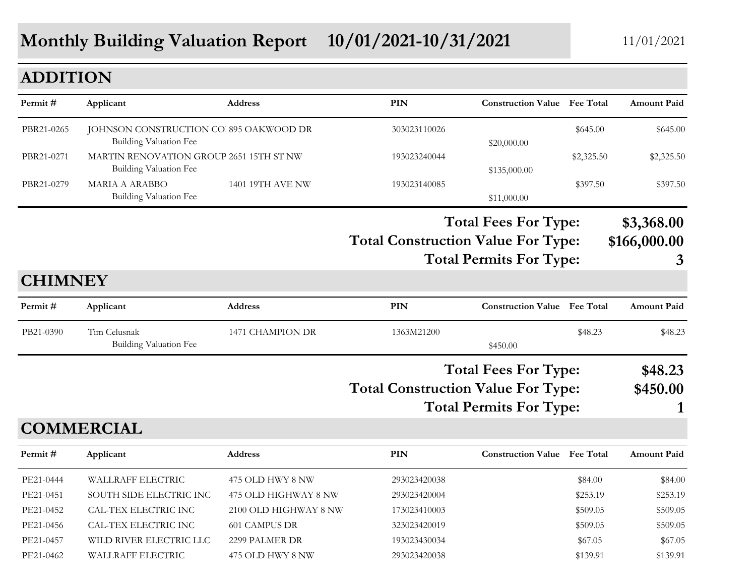## **Monthly Building Valuation Report** 10/01/2021-10/31/2021 11/01/2021

#### **ADDITION**

| Permit#        | Applicant                                                                | <b>Address</b>          | PIN                                       | <b>Construction Value</b> Fee Total                           |            | <b>Amount Paid</b>              |
|----------------|--------------------------------------------------------------------------|-------------------------|-------------------------------------------|---------------------------------------------------------------|------------|---------------------------------|
|                |                                                                          |                         |                                           |                                                               |            |                                 |
| PBR21-0265     | JOHNSON CONSTRUCTION CO. 895 OAKWOOD DR<br><b>Building Valuation Fee</b> |                         | 303023110026                              | \$20,000.00                                                   | \$645.00   | \$645.00                        |
| PBR21-0271     | MARTIN RENOVATION GROUP 2651 15TH ST NW<br><b>Building Valuation Fee</b> |                         | 193023240044                              | \$135,000.00                                                  | \$2,325.50 | \$2,325.50                      |
| PBR21-0279     | <b>MARIA A ARABBO</b><br>Building Valuation Fee                          | <b>1401 19TH AVE NW</b> | 193023140085                              | \$11,000.00                                                   | \$397.50   | \$397.50                        |
|                |                                                                          |                         | <b>Total Construction Value For Type:</b> | <b>Total Fees For Type:</b><br><b>Total Permits For Type:</b> |            | \$3,368.00<br>\$166,000.00<br>3 |
| <b>CHIMNEY</b> |                                                                          |                         |                                           |                                                               |            |                                 |
| Permit#        | Applicant                                                                | <b>Address</b>          | PIN                                       | <b>Construction Value</b> Fee Total                           |            | <b>Amount Paid</b>              |
| PB21-0390      | Tim Celusnak<br><b>Building Valuation Fee</b>                            | 1471 CHAMPION DR        | 1363M21200                                | \$450.00                                                      | \$48.23    | \$48.23                         |
|                |                                                                          |                         |                                           | <b>Total Fees For Type:</b>                                   |            | \$48.23                         |
|                |                                                                          |                         | <b>Total Construction Value For Type:</b> |                                                               |            | \$450.00                        |
|                |                                                                          |                         |                                           | <b>Total Permits For Type:</b>                                |            |                                 |
|                | <b>COMMERCIAL</b>                                                        |                         |                                           |                                                               |            |                                 |
| Permit#        | Applicant                                                                | <b>Address</b>          | PIN                                       | <b>Construction Value</b> Fee Total                           |            | <b>Amount Paid</b>              |
| PE21-0444      | <b>WALLRAFF ELECTRIC</b>                                                 | 475 OLD HWY 8 NW        | 293023420038                              |                                                               | \$84.00    | \$84.00                         |
| PE21-0451      | SOUTH SIDE ELECTRIC INC                                                  | 475 OLD HIGHWAY 8 NW    | 293023420004                              |                                                               | \$253.19   | \$253.19                        |

PE21-0452 CAL-TEX ELECTRIC INC 2100 OLD HIGHWAY 8 NW 173023410003 \$509.05 \$509.05 \$509.05 PE21-0456 CAL-TEX ELECTRIC INC 601 CAMPUS DR 323023420019 \$509.05 \$509.05 \$509.05 PE21-0457 WILD RIVER ELECTRIC LLC 2299 PALMER DR 193023430034 \$67.05 \$67.05 \$67.05 PE21-0462 WALLRAFF ELECTRIC 475 OLD HWY 8 NW 293023420038 \$139.91 \$139.91 \$139.91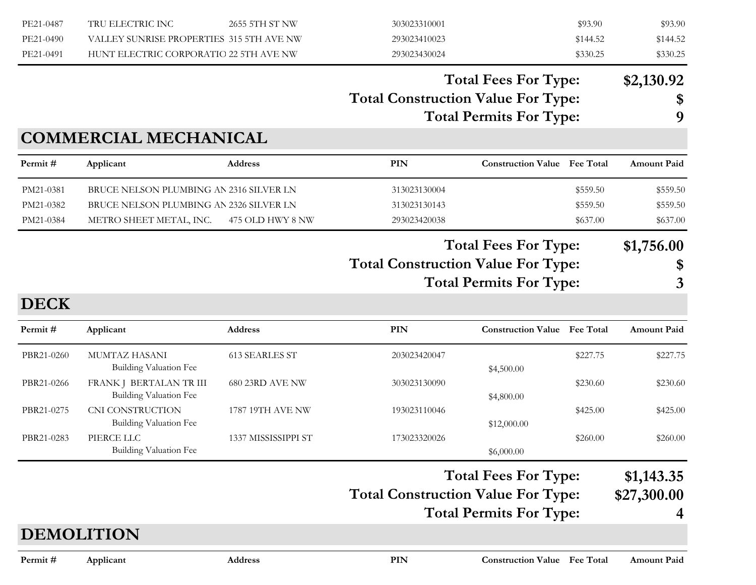| PE21-0487<br>PE21-0490<br>PE21-0491 | TRU ELECTRIC INC<br>VALLEY SUNRISE PROPERTIES 315 5TH AVE NW<br>HUNT ELECTRIC CORPORATIO 22 5TH AVE NW        | 2655 5TH ST NW        | 303023310001<br>293023410023<br>293023430024 |                                                               | \$93.90<br>\$144.52<br>\$330.25  | \$93.90<br>\$144.52<br>\$330.25  |
|-------------------------------------|---------------------------------------------------------------------------------------------------------------|-----------------------|----------------------------------------------|---------------------------------------------------------------|----------------------------------|----------------------------------|
|                                     |                                                                                                               |                       | <b>Total Construction Value For Type:</b>    | <b>Total Fees For Type:</b><br><b>Total Permits For Type:</b> |                                  | \$2,130.92<br>\$<br>9            |
| Permit#                             | <b>COMMERCIAL MECHANICAL</b><br>Applicant                                                                     | <b>Address</b>        | <b>PIN</b>                                   | <b>Construction Value</b> Fee Total                           |                                  | <b>Amount Paid</b>               |
| PM21-0381<br>PM21-0382<br>PM21-0384 | BRUCE NELSON PLUMBING AN 2316 SILVER LN<br>BRUCE NELSON PLUMBING AN 2326 SILVER LN<br>METRO SHEET METAL, INC. | 475 OLD HWY 8 NW      | 313023130004<br>313023130143<br>293023420038 |                                                               | \$559.50<br>\$559.50<br>\$637.00 | \$559.50<br>\$559.50<br>\$637.00 |
| <b>DECK</b>                         |                                                                                                               |                       | <b>Total Construction Value For Type:</b>    | <b>Total Fees For Type:</b><br><b>Total Permits For Type:</b> |                                  | \$1,756.00<br>\$<br>3            |
| Permit#                             | Applicant                                                                                                     | <b>Address</b>        | <b>PIN</b>                                   | <b>Construction Value</b> Fee Total                           |                                  | <b>Amount Paid</b>               |
| PBR21-0260                          | MUMTAZ HASANI<br><b>Building Valuation Fee</b>                                                                | <b>613 SEARLES ST</b> | 203023420047                                 | \$4,500.00                                                    | \$227.75                         | \$227.75                         |
| PBR21-0266                          | FRANK J BERTALAN TR III<br><b>Building Valuation Fee</b>                                                      | 680 23RD AVE NW       | 303023130090                                 | \$4,800.00                                                    | \$230.60                         | \$230.60                         |
| PBR21-0275                          | CNI CONSTRUCTION<br><b>Building Valuation Fee</b>                                                             | 1787 19TH AVE NW      | 193023110046                                 | \$12,000.00                                                   | \$425.00                         | \$425.00                         |
| PBR21-0283                          | PIERCE LLC<br><b>Building Valuation Fee</b>                                                                   | 1337 MISSISSIPPI ST   | 173023320026                                 | \$6,000.00                                                    | \$260.00                         | \$260.00                         |
|                                     |                                                                                                               |                       | <b>Total Construction Value For Type:</b>    | <b>Total Fees For Type:</b>                                   |                                  | \$1,143.35<br>\$27,300.00        |

## **DEMOLITION**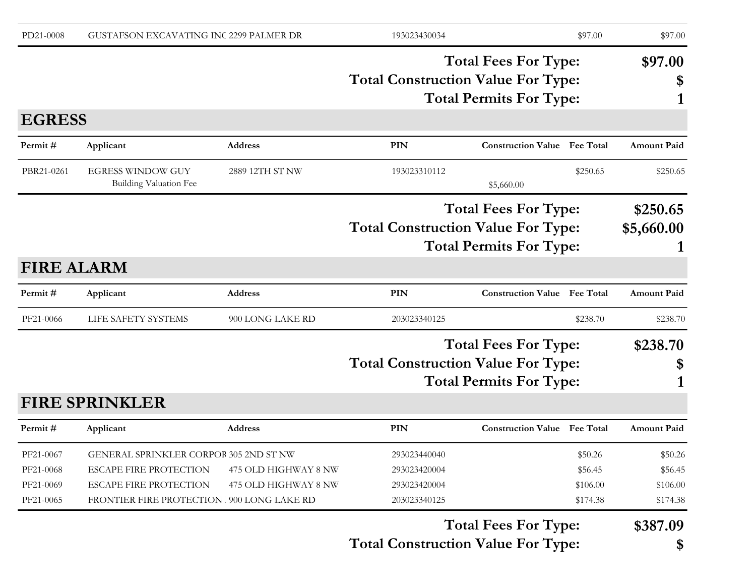| PD21-0008         | GUSTAFSON EXCAVATING INC 2299 PALMER DR                   |                      | 193023430034                              |                                     | \$97.00          | \$97.00            |
|-------------------|-----------------------------------------------------------|----------------------|-------------------------------------------|-------------------------------------|------------------|--------------------|
|                   |                                                           |                      |                                           | <b>Total Fees For Type:</b>         |                  | \$97.00            |
|                   |                                                           |                      | <b>Total Construction Value For Type:</b> |                                     |                  | \$                 |
|                   |                                                           |                      |                                           | <b>Total Permits For Type:</b>      |                  |                    |
| <b>EGRESS</b>     |                                                           |                      |                                           |                                     |                  |                    |
| Permit#           | Applicant                                                 | <b>Address</b>       | <b>PIN</b>                                | <b>Construction Value Fee Total</b> |                  | <b>Amount Paid</b> |
| PBR21-0261        | <b>EGRESS WINDOW GUY</b><br><b>Building Valuation Fee</b> | 2889 12TH ST NW      | 193023310112                              | \$5,660.00                          | \$250.65         | \$250.65           |
|                   |                                                           |                      |                                           | <b>Total Fees For Type:</b>         |                  | \$250.65           |
|                   |                                                           |                      | <b>Total Construction Value For Type:</b> |                                     |                  | \$5,660.00         |
|                   |                                                           |                      |                                           | <b>Total Permits For Type:</b>      |                  |                    |
| <b>FIRE ALARM</b> |                                                           |                      |                                           |                                     |                  |                    |
| Permit#           | Applicant                                                 | <b>Address</b>       | <b>PIN</b>                                | <b>Construction Value Fee Total</b> |                  | <b>Amount Paid</b> |
| PF21-0066         | LIFE SAFETY SYSTEMS                                       | 900 LONG LAKE RD     | 203023340125                              |                                     | \$238.70         | \$238.70           |
|                   |                                                           |                      |                                           | <b>Total Fees For Type:</b>         |                  | \$238.70           |
|                   |                                                           |                      | <b>Total Construction Value For Type:</b> |                                     |                  | \$                 |
|                   |                                                           |                      |                                           | <b>Total Permits For Type:</b>      |                  |                    |
|                   | <b>FIRE SPRINKLER</b>                                     |                      |                                           |                                     |                  |                    |
| Permit#           | Applicant                                                 | <b>Address</b>       | PIN                                       | <b>Construction Value</b>           | <b>Fee Total</b> | <b>Amount Paid</b> |
| PF21-0067         | GENERAL SPRINKLER CORPOR 305 2ND ST NW                    |                      | 293023440040                              |                                     | \$50.26          | \$50.26            |
| PF21-0068         | <b>ESCAPE FIRE PROTECTION</b>                             | 475 OLD HIGHWAY 8 NW | 293023420004                              |                                     | \$56.45          | \$56.45            |
| PF21-0069         | <b>ESCAPE FIRE PROTECTION</b>                             | 475 OLD HIGHWAY 8 NW | 293023420004                              |                                     | \$106.00         | \$106.00           |
| PF21-0065         | FRONTIER FIRE PROTECTION   900 LONG LAKE RD               |                      | 203023340125                              |                                     | \$174.38         | \$174.38           |
|                   |                                                           |                      |                                           | <b>Total Fees For Type:</b>         |                  | \$387.09           |
|                   |                                                           |                      | <b>Total Construction Value For Type:</b> |                                     |                  | \$                 |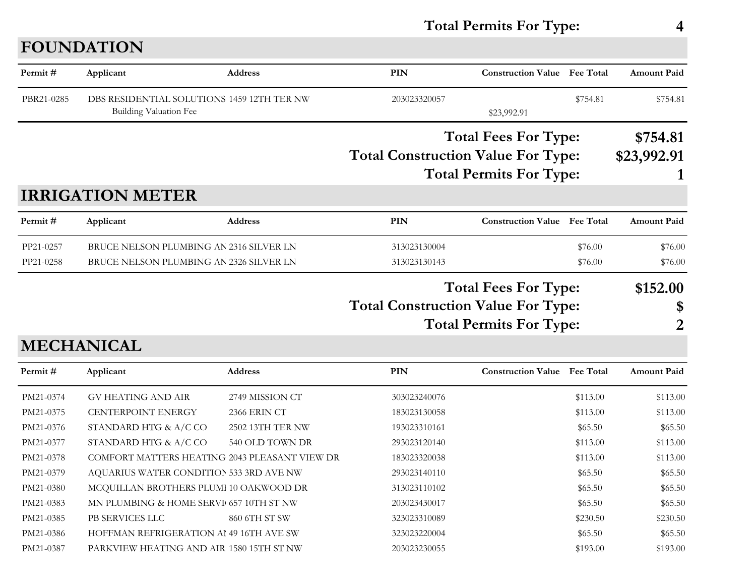## **FOUNDATION**

| Permit#                | Applicant                                                                          | Address          | PIN                                       | <b>Construction Value</b> Fee Total                           |                    | <b>Amount Paid</b>      |
|------------------------|------------------------------------------------------------------------------------|------------------|-------------------------------------------|---------------------------------------------------------------|--------------------|-------------------------|
| PBR21-0285             | DBS RESIDENTIAL SOLUTIONS 1459 12TH TER NW<br>Building Valuation Fee               |                  | 203023320057                              | \$23,992.91                                                   | \$754.81           | \$754.81                |
|                        |                                                                                    |                  | <b>Total Construction Value For Type:</b> | <b>Total Fees For Type:</b><br><b>Total Permits For Type:</b> |                    | \$754.81<br>\$23,992.91 |
|                        | <b>IRRIGATION METER</b>                                                            |                  |                                           |                                                               |                    |                         |
| Permit#                | Applicant                                                                          | <b>Address</b>   | PIN                                       | <b>Construction Value</b> Fee Total                           |                    | <b>Amount Paid</b>      |
| PP21-0257<br>PP21-0258 | BRUCE NELSON PLUMBING AN 2316 SILVER LN<br>BRUCE NELSON PLUMBING AN 2326 SILVER LN |                  | 313023130004<br>313023130143              |                                                               | \$76.00<br>\$76.00 | \$76.00<br>\$76.00      |
|                        | <b>MECHANICAL</b>                                                                  |                  | <b>Total Construction Value For Type:</b> | <b>Total Fees For Type:</b><br><b>Total Permits For Type:</b> |                    | \$152.00<br>\$<br>2     |
| Permit#                | Applicant                                                                          | <b>Address</b>   | PIN                                       | <b>Construction Value Fee Total</b>                           |                    | <b>Amount Paid</b>      |
| PM21-0374              | <b>GV HEATING AND AIR</b>                                                          | 2749 MISSION CT  | 303023240076                              |                                                               | \$113.00           | \$113.00                |
| PM21-0375              | <b>CENTERPOINT ENERGY</b>                                                          | 2366 ERIN CT     | 183023130058                              |                                                               | \$113.00           | \$113.00                |
| PM21-0376              | STANDARD HTG & A/C CO                                                              | 2502 13TH TER NW | 193023310161                              |                                                               | \$65.50            | \$65.50                 |
| PM21-0377              | STANDARD HTG & A/C CO                                                              | 540 OLD TOWN DR  | 293023120140                              |                                                               | \$113.00           | \$113.00                |
| PM21-0378              | COMFORT MATTERS HEATING 2043 PLEASANT VIEW DR                                      |                  | 183023320038                              |                                                               | \$113.00           | \$113.00                |
| PM21-0379              | AQUARIUS WATER CONDITION 533 3RD AVE NW                                            |                  | 293023140110                              |                                                               | \$65.50            | \$65.50                 |
| PM21-0380              | MCQUILLAN BROTHERS PLUMI 10 OAKWOOD DR                                             |                  | 313023110102                              |                                                               | \$65.50            | \$65.50                 |
| PM21-0383              | MN PLUMBING & HOME SERVI 657 10TH ST NW                                            |                  | 203023430017                              |                                                               | \$65.50            | \$65.50                 |
| PM21-0385              | PB SERVICES LLC                                                                    | 860 6TH ST SW    | 323023310089                              |                                                               | \$230.50           | \$230.50                |
| PM21-0386              | HOFFMAN REFRIGERATION AI 49 16TH AVE SW                                            |                  | 323023220004                              |                                                               | \$65.50            | \$65.50                 |
| PM21-0387              | PARKVIEW HEATING AND AIR 1580 15TH ST NW                                           |                  | 203023230055                              |                                                               | \$193.00           | \$193.00                |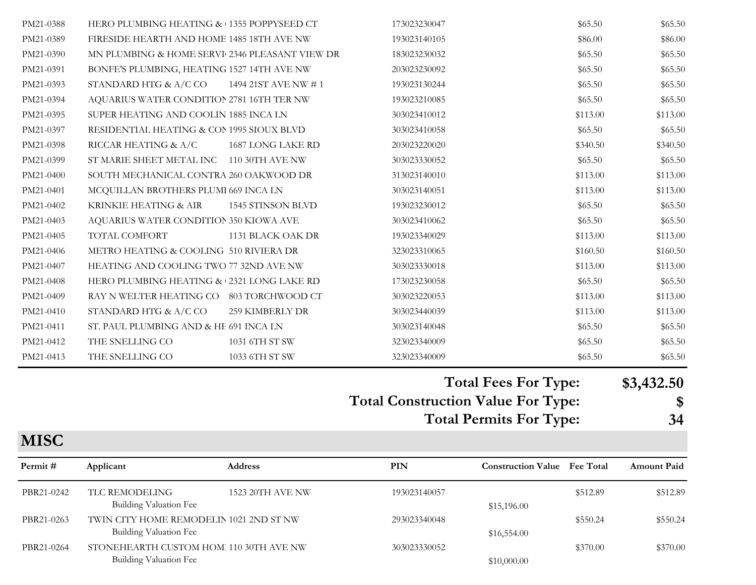| PM21-0388 | HERO PLUMBING HEATING & 1355 POPPYSEED CT      |                      | 173023230047 | \$65.50  | \$65.50  |
|-----------|------------------------------------------------|----------------------|--------------|----------|----------|
| PM21-0389 | FIRESIDE HEARTH AND HOME 1485 18TH AVE NW      |                      | 193023140105 | \$86.00  | \$86.00  |
| PM21-0390 | MN PLUMBING & HOME SERVI 2346 PLEASANT VIEW DR |                      | 183023230032 | \$65.50  | \$65.50  |
| PM21-0391 | BONFE'S PLUMBING, HEATING 1527 14TH AVE NW     |                      | 203023230092 | \$65.50  | \$65.50  |
| PM21-0393 | STANDARD HTG & A/C CO                          | 1494 21ST AVE NW # 1 | 193023130244 | \$65.50  | \$65.50  |
| PM21-0394 | AQUARIUS WATER CONDITION 2781 16TH TER NW      |                      | 193023210085 | \$65.50  | \$65.50  |
| PM21-0395 | SUPER HEATING AND COOLIN 1885 INCA LN          |                      | 303023410012 | \$113.00 | \$113.00 |
| PM21-0397 | RESIDENTIAL HEATING & CON 1995 SIOUX BLVD      |                      | 303023410058 | \$65.50  | \$65.50  |
| PM21-0398 | RICCAR HEATING & A/C                           | 1687 LONG LAKE RD    | 203023220020 | \$340.50 | \$340.50 |
| PM21-0399 | ST MARIE SHEET METAL INC 110 30TH AVE NW       |                      | 303023330052 | \$65.50  | \$65.50  |
| PM21-0400 | SOUTH MECHANICAL CONTRA 260 OAKWOOD DR         |                      | 313023140010 | \$113.00 | \$113.00 |
| PM21-0401 | MCQUILLAN BROTHERS PLUMI 669 INCA LN           |                      | 303023140051 | \$113.00 | \$113.00 |
| PM21-0402 | KRINKIE HEATING & AIR                          | 1545 STINSON BLVD    | 193023230012 | \$65.50  | \$65.50  |
| PM21-0403 | AQUARIUS WATER CONDITION 350 KIOWA AVE         |                      | 303023410062 | \$65.50  | \$65.50  |
| PM21-0405 | TOTAL COMFORT                                  | 1131 BLACK OAK DR    | 193023340029 | \$113.00 | \$113.00 |
| PM21-0406 | METRO HEATING & COOLING 510 RIVIERA DR         |                      | 323023310065 | \$160.50 | \$160.50 |
| PM21-0407 | HEATING AND COOLING TWO 77 32ND AVE NW         |                      | 303023330018 | \$113.00 | \$113.00 |
| PM21-0408 | HERO PLUMBING HEATING & 2321 LONG LAKE RD      |                      | 173023230058 | \$65.50  | \$65.50  |
| PM21-0409 | RAY N WELTER HEATING CO 803 TORCHWOOD CT       |                      | 303023220053 | \$113.00 | \$113.00 |
| PM21-0410 | STANDARD HTG & A/C CO                          | 259 KIMBERLY DR      | 303023440039 | \$113.00 | \$113.00 |
| PM21-0411 | ST. PAUL PLUMBING AND & HE 691 INCA LN         |                      | 303023140048 | \$65.50  | \$65.50  |
| PM21-0412 | THE SNELLING CO                                | 1031 6TH ST SW       | 323023340009 | \$65.50  | \$65.50  |
| PM21-0413 | THE SNELLING CO                                | 1033 6TH ST SW       | 323023340009 | \$65.50  | \$65.50  |

## **Total Fees For Type: \$3,432.50**

**Total Construction Value For Type: \$ Total Permits For Type: 34**

| \$ |
|----|
| 34 |

| Permit#    | Applicant                                                               | Address                 | <b>PIN</b>   | <b>Construction Value</b> Fee Total |          | <b>Amount Paid</b> |
|------------|-------------------------------------------------------------------------|-------------------------|--------------|-------------------------------------|----------|--------------------|
| PBR21-0242 | TLC REMODELING<br>Building Valuation Fee                                | <b>1523 20TH AVE NW</b> | 193023140057 | \$15,196.00                         | \$512.89 | \$512.89           |
| PBR21-0263 | TWIN CITY HOME REMODELIN 1021 2ND ST NW<br>Building Valuation Fee       |                         | 293023340048 | \$16,554.00                         | \$550.24 | \$550.24           |
| PBR21-0264 | STONEHEARTH CUSTOM HOM 110 30TH AVE NW<br><b>Building Valuation Fee</b> |                         | 303023330052 | \$10,000.00                         | \$370.00 | \$370.00           |

**MISC**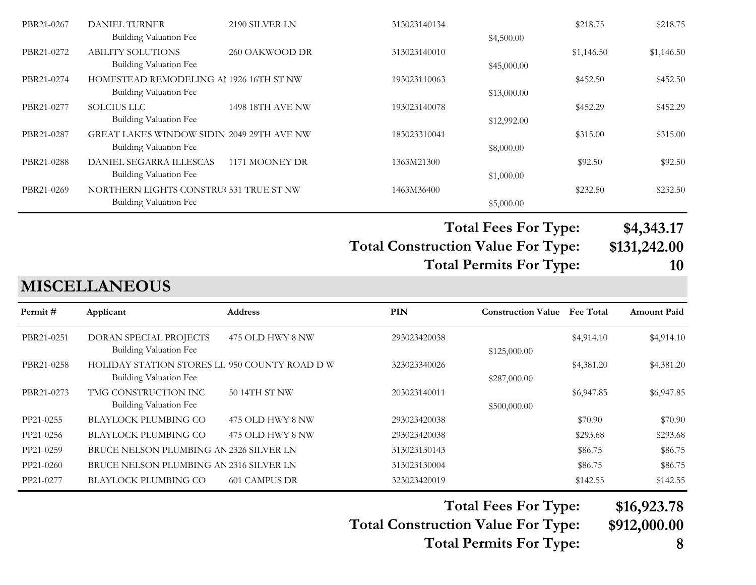|            |                                           |                         |              | <b>Total Fees For Type:</b> |            | \$4,343.17 |
|------------|-------------------------------------------|-------------------------|--------------|-----------------------------|------------|------------|
|            | Building Valuation Fee                    |                         |              | \$5,000.00                  |            |            |
| PBR21-0269 | NORTHERN LIGHTS CONSTRU( 531 TRUE ST NW   |                         | 1463M36400   |                             | \$232.50   | \$232.50   |
|            | Building Valuation Fee                    |                         |              | \$1,000.00                  |            |            |
| PBR21-0288 | DANIEL SEGARRA ILLESCAS                   | 1171 MOONEY DR          | 1363M21300   |                             | \$92.50    | \$92.50    |
|            | Building Valuation Fee                    |                         |              | \$8,000.00                  |            |            |
| PBR21-0287 | GREAT LAKES WINDOW SIDIN 2049 29TH AVE NW |                         | 183023310041 |                             | \$315.00   | \$315.00   |
|            | Building Valuation Fee                    |                         |              | \$12,992.00                 |            |            |
| PBR21-0277 | <b>SOLCIUS LLC</b>                        | <b>1498 18TH AVE NW</b> | 193023140078 |                             | \$452.29   | \$452.29   |
|            | Building Valuation Fee                    |                         |              | \$13,000.00                 |            |            |
| PBR21-0274 | HOMESTEAD REMODELING AL 1926 16TH ST NW   |                         | 193023110063 |                             | \$452.50   | \$452.50   |
|            | Building Valuation Fee                    |                         |              | \$45,000.00                 |            |            |
| PBR21-0272 | <b>ABILITY SOLUTIONS</b>                  | 260 OAKWOOD DR          | 313023140010 |                             | \$1,146.50 | \$1,146.50 |
|            | Building Valuation Fee                    |                         |              | \$4,500.00                  |            |            |
| PBR21-0267 | <b>DANIEL TURNER</b>                      | 2190 SILVER LN          | 313023140134 |                             | \$218.75   | \$218.75   |

**Total Construction Value For Type: \$131,242.00**

**Total Permits For Type: 10**

#### **MISCELLANEOUS**

| Permit#    | Applicant                                                                      | <b>Address</b>   | <b>PIN</b>   | <b>Construction Value</b> | <b>Fee Total</b> | <b>Amount Paid</b> |
|------------|--------------------------------------------------------------------------------|------------------|--------------|---------------------------|------------------|--------------------|
| PBR21-0251 | DORAN SPECIAL PROJECTS<br>Building Valuation Fee                               | 475 OLD HWY 8 NW | 293023420038 | \$125,000.00              | \$4,914.10       | \$4,914.10         |
| PBR21-0258 | HOLIDAY STATION STORES LL 950 COUNTY ROAD D W<br><b>Building Valuation Fee</b> |                  | 323023340026 | \$287,000.00              | \$4,381.20       | \$4,381.20         |
| PBR21-0273 | TMG CONSTRUCTION INC<br>Building Valuation Fee                                 | 50 14TH ST NW    | 203023140011 | \$500,000.00              | \$6,947.85       | \$6,947.85         |
| PP21-0255  | <b>BLAYLOCK PLUMBING CO</b>                                                    | 475 OLD HWY 8 NW | 293023420038 |                           | \$70.90          | \$70.90            |
| PP21-0256  | <b>BLAYLOCK PLUMBING CO</b>                                                    | 475 OLD HWY 8 NW | 293023420038 |                           | \$293.68         | \$293.68           |
| PP21-0259  | BRUCE NELSON PLUMBING AN 2326 SILVER LN                                        |                  | 313023130143 |                           | \$86.75          | \$86.75            |
| PP21-0260  | BRUCE NELSON PLUMBING AN 2316 SILVER LN                                        |                  | 313023130004 |                           | \$86.75          | \$86.75            |
| PP21-0277  | BLAYLOCK PLUMBING CO                                                           | 601 CAMPUS DR    | 323023420019 |                           | \$142.55         | \$142.55           |

**Total Fees For Type: \$16,923.78**

**Total Construction Value For Type: \$912,000.00**

**Total Permits For Type: 8**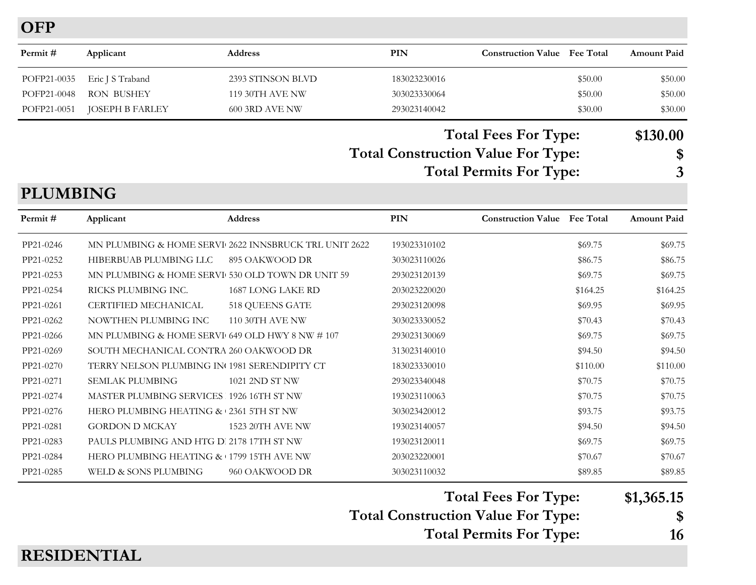**OFP**

| Permit #    | Applicant        | <b>Address</b>         | PIN          | <b>Construction Value</b> Fee Total                                                        |         | <b>Amount Paid</b>             |
|-------------|------------------|------------------------|--------------|--------------------------------------------------------------------------------------------|---------|--------------------------------|
| POFP21-0035 | Eric J S Traband | 2393 STINSON BLVD      | 183023230016 |                                                                                            | \$50.00 | \$50.00                        |
| POFP21-0048 | RON BUSHEY       | <b>119 30TH AVE NW</b> | 303023330064 |                                                                                            | \$50.00 | \$50.00                        |
| POFP21-0051 | JOSEPH B FARLEY  | 600 3RD AVE NW         | 293023140042 |                                                                                            | \$30.00 | \$30.00                        |
|             |                  |                        |              | $T_{\alpha\alpha}$ $\Gamma_{\alpha\alpha}$ $\Gamma_{\alpha\alpha}$ $\Gamma_{\alpha\alpha}$ |         | $\triangle$ 120 $\triangle$ 00 |

#### **Total Construction Value For Type: \$ Total Fees For Type: \$130.00 Total Permits For Type: 3**

**PLUMBING**

| Permit #  | Applicant                                          | <b>Address</b>                                        | <b>PIN</b>   | <b>Construction Value</b> Fee Total |          | <b>Amount Paid</b> |
|-----------|----------------------------------------------------|-------------------------------------------------------|--------------|-------------------------------------|----------|--------------------|
| PP21-0246 |                                                    | MN PLUMBING & HOME SERVI 2622 INNSBRUCK TRL UNIT 2622 | 193023310102 |                                     | \$69.75  | \$69.75            |
| PP21-0252 | HIBERBUAB PLUMBING LLC                             | 895 OAKWOOD DR                                        | 303023110026 |                                     | \$86.75  | \$86.75            |
| PP21-0253 | MN PLUMBING & HOME SERVI 530 OLD TOWN DR UNIT 59   |                                                       | 293023120139 |                                     | \$69.75  | \$69.75            |
| PP21-0254 | RICKS PLUMBING INC.                                | 1687 LONG LAKE RD                                     | 203023220020 |                                     | \$164.25 | \$164.25           |
| PP21-0261 | CERTIFIED MECHANICAL                               | 518 QUEENS GATE                                       | 293023120098 |                                     | \$69.95  | \$69.95            |
| PP21-0262 | NOWTHEN PLUMBING INC                               | <b>110 30TH AVE NW</b>                                | 303023330052 |                                     | \$70.43  | \$70.43            |
| PP21-0266 | MN PLUMBING & HOME SERVI 649 OLD HWY 8 NW $\#$ 107 |                                                       | 293023130069 |                                     | \$69.75  | \$69.75            |
| PP21-0269 | SOUTH MECHANICAL CONTRA 260 OAKWOOD DR             |                                                       | 313023140010 |                                     | \$94.50  | \$94.50            |
| PP21-0270 | TERRY NELSON PLUMBING IN 1981 SERENDIPITY CT       |                                                       | 183023330010 |                                     | \$110.00 | \$110.00           |
| PP21-0271 | <b>SEMLAK PLUMBING</b>                             | 1021 2ND ST NW                                        | 293023340048 |                                     | \$70.75  | \$70.75            |
| PP21-0274 | MASTER PLUMBING SERVICES 1926 16TH ST NW           |                                                       | 193023110063 |                                     | \$70.75  | \$70.75            |
| PP21-0276 | HERO PLUMBING HEATING & 2361 5TH ST NW             |                                                       | 303023420012 |                                     | \$93.75  | \$93.75            |
| PP21-0281 | <b>GORDON D MCKAY</b>                              | <b>1523 20TH AVE NW</b>                               | 193023140057 |                                     | \$94.50  | \$94.50            |
| PP21-0283 | PAULS PLUMBING AND HTG D. 2178 17TH ST NW          |                                                       | 193023120011 |                                     | \$69.75  | \$69.75            |
| PP21-0284 | HERO PLUMBING HEATING & 1799 15TH AVE NW           |                                                       | 203023220001 |                                     | \$70.67  | \$70.67            |
| PP21-0285 | WELD & SONS PLUMBING                               | 960 OAKWOOD DR                                        | 303023110032 |                                     | \$89.85  | \$89.85            |

**Total Fees For Type: \$1,365.15**

**Total Construction Value For Type: \$**

**Total Permits For Type: 16**

#### **RESIDENTIAL**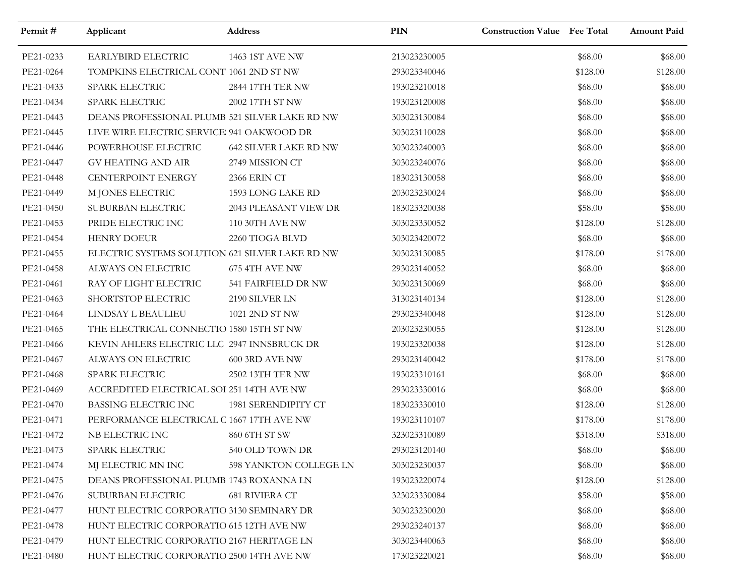| Permit#   | Applicant                                       | Address                      | PIN          | <b>Construction Value Fee Total</b> |          | <b>Amount Paid</b> |
|-----------|-------------------------------------------------|------------------------------|--------------|-------------------------------------|----------|--------------------|
| PE21-0233 | EARLYBIRD ELECTRIC                              | 1463 1ST AVE NW              | 213023230005 |                                     | \$68.00  | \$68.00            |
| PE21-0264 | TOMPKINS ELECTRICAL CONT 1061 2ND ST NW         |                              | 293023340046 |                                     | \$128.00 | \$128.00           |
| PE21-0433 | SPARK ELECTRIC                                  | 2844 17TH TER NW             | 193023210018 |                                     | \$68.00  | \$68.00            |
| PE21-0434 | SPARK ELECTRIC                                  | 2002 17TH ST NW              | 193023120008 |                                     | \$68.00  | \$68.00            |
| PE21-0443 | DEANS PROFESSIONAL PLUMB 521 SILVER LAKE RD NW  |                              | 303023130084 |                                     | \$68.00  | \$68.00            |
| PE21-0445 | LIVE WIRE ELECTRIC SERVICE 941 OAKWOOD DR       |                              | 303023110028 |                                     | \$68.00  | \$68.00            |
| PE21-0446 | POWERHOUSE ELECTRIC                             | <b>642 SILVER LAKE RD NW</b> | 303023240003 |                                     | \$68.00  | \$68.00            |
| PE21-0447 | GV HEATING AND AIR                              | 2749 MISSION CT              | 303023240076 |                                     | \$68.00  | \$68.00            |
| PE21-0448 | CENTERPOINT ENERGY                              | 2366 ERIN CT                 | 183023130058 |                                     | \$68.00  | \$68.00            |
| PE21-0449 | M JONES ELECTRIC                                | 1593 LONG LAKE RD            | 203023230024 |                                     | \$68.00  | \$68.00            |
| PE21-0450 | SUBURBAN ELECTRIC                               | 2043 PLEASANT VIEW DR        | 183023320038 |                                     | \$58.00  | \$58.00            |
| PE21-0453 | PRIDE ELECTRIC INC                              | 110 30TH AVE NW              | 303023330052 |                                     | \$128.00 | \$128.00           |
| PE21-0454 | <b>HENRY DOEUR</b>                              | 2260 TIOGA BLVD              | 303023420072 |                                     | \$68.00  | \$68.00            |
| PE21-0455 | ELECTRIC SYSTEMS SOLUTION 621 SILVER LAKE RD NW |                              | 303023130085 |                                     | \$178.00 | \$178.00           |
| PE21-0458 | ALWAYS ON ELECTRIC                              | 675 4TH AVE NW               | 293023140052 |                                     | \$68.00  | \$68.00            |
| PE21-0461 | RAY OF LIGHT ELECTRIC                           | 541 FAIRFIELD DR NW          | 303023130069 |                                     | \$68.00  | \$68.00            |
| PE21-0463 | SHORTSTOP ELECTRIC                              | 2190 SILVER LN               | 313023140134 |                                     | \$128.00 | \$128.00           |
| PE21-0464 | LINDSAY L BEAULIEU                              | 1021 2ND ST NW               | 293023340048 |                                     | \$128.00 | \$128.00           |
| PE21-0465 | THE ELECTRICAL CONNECTIO 1580 15TH ST NW        |                              | 203023230055 |                                     | \$128.00 | \$128.00           |
| PE21-0466 | KEVIN AHLERS ELECTRIC LLC 2947 INNSBRUCK DR     |                              | 193023320038 |                                     | \$128.00 | \$128.00           |
| PE21-0467 | ALWAYS ON ELECTRIC                              | <b>600 3RD AVE NW</b>        | 293023140042 |                                     | \$178.00 | \$178.00           |
| PE21-0468 | SPARK ELECTRIC                                  | 2502 13TH TER NW             | 193023310161 |                                     | \$68.00  | \$68.00            |
| PE21-0469 | ACCREDITED ELECTRICAL SOI 251 14TH AVE NW       |                              | 293023330016 |                                     | \$68.00  | \$68.00            |
| PE21-0470 | BASSING ELECTRIC INC                            | 1981 SERENDIPITY CT          | 183023330010 |                                     | \$128.00 | \$128.00           |
| PE21-0471 | PERFORMANCE ELECTRICAL C 1667 17TH AVE NW       |                              | 193023110107 |                                     | \$178.00 | \$178.00           |
| PE21-0472 | NB ELECTRIC INC                                 | 860 6TH ST SW                | 323023310089 |                                     | \$318.00 | \$318.00           |
| PE21-0473 | SPARK ELECTRIC                                  | 540 OLD TOWN DR              | 293023120140 |                                     | \$68.00  | \$68.00            |
| PE21-0474 | MJ ELECTRIC MN INC                              | 598 YANKTON COLLEGE LN       | 303023230037 |                                     | \$68.00  | \$68.00            |
| PE21-0475 | DEANS PROFESSIONAL PLUMB 1743 ROXANNA LN        |                              | 193023220074 |                                     | \$128.00 | \$128.00           |
| PE21-0476 | SUBURBAN ELECTRIC                               | 681 RIVIERA CT               | 323023330084 |                                     | \$58.00  | \$58.00            |
| PE21-0477 | HUNT ELECTRIC CORPORATIO 3130 SEMINARY DR       |                              | 303023230020 |                                     | \$68.00  | \$68.00            |
| PE21-0478 | HUNT ELECTRIC CORPORATIO 615 12TH AVE NW        |                              | 293023240137 |                                     | \$68.00  | \$68.00            |
| PE21-0479 | HUNT ELECTRIC CORPORATIO 2167 HERITAGE LN       |                              | 303023440063 |                                     | \$68.00  | \$68.00            |
| PE21-0480 | HUNT ELECTRIC CORPORATIO 2500 14TH AVE NW       |                              | 173023220021 |                                     | \$68.00  | \$68.00            |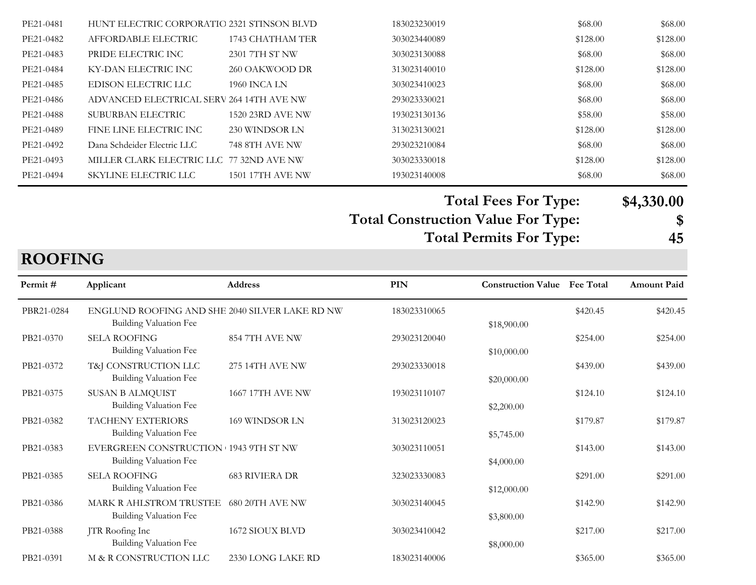| PE21-0481 | HUNT ELECTRIC CORPORATIO 2321 STINSON BLVD |                         | 183023230019 | \$68.00  | \$68.00  |
|-----------|--------------------------------------------|-------------------------|--------------|----------|----------|
| PE21-0482 | AFFORDABLE ELECTRIC                        | 1743 CHATHAM TER        | 303023440089 | \$128.00 | \$128.00 |
| PE21-0483 | PRIDE ELECTRIC INC                         | 2301 7TH ST NW          | 303023130088 | \$68.00  | \$68.00  |
| PE21-0484 | KY-DAN ELECTRIC INC                        | 260 OAKWOOD DR          | 313023140010 | \$128.00 | \$128.00 |
| PE21-0485 | EDISON ELECTRIC LLC                        | 1960 INCA LN            | 303023410023 | \$68.00  | \$68.00  |
| PE21-0486 | ADVANCED ELECTRICAL SERV 264 14TH AVE NW   |                         | 293023330021 | \$68.00  | \$68.00  |
| PE21-0488 | SUBURBAN ELECTRIC                          | <b>1520 23RD AVE NW</b> | 193023130136 | \$58.00  | \$58.00  |
| PE21-0489 | FINE LINE ELECTRIC INC                     | 230 WINDSOR LN          | 313023130021 | \$128.00 | \$128.00 |
| PE21-0492 | Dana Schdeider Electric LLC                | <b>748 8TH AVE NW</b>   | 293023210084 | \$68.00  | \$68.00  |
| PE21-0493 | MILLER CLARK ELECTRIC LLC 77 32ND AVE NW   |                         | 303023330018 | \$128.00 | \$128.00 |
| PE21-0494 | SKYLINE ELECTRIC LLC                       | <b>1501 17TH AVE NW</b> | 193023140008 | \$68.00  | \$68.00  |
|           |                                            |                         |              |          |          |

**Total Construction Value For Type: \$ Total Fees For Type: \$4,330.00 Total Permits For Type: 45**

## **ROOFING**

| Permit#    | Applicant                                                                | <b>Address</b>          | <b>PIN</b>   | <b>Construction Value</b> | <b>Fee Total</b> | <b>Amount Paid</b> |
|------------|--------------------------------------------------------------------------|-------------------------|--------------|---------------------------|------------------|--------------------|
| PBR21-0284 | ENGLUND ROOFING AND SHE 2040 SILVER LAKE RD NW<br>Building Valuation Fee |                         | 183023310065 | \$18,900.00               | \$420.45         | \$420.45           |
| PB21-0370  | <b>SELA ROOFING</b><br>Building Valuation Fee                            | 854 7TH AVE NW          | 293023120040 | \$10,000.00               | \$254.00         | \$254.00           |
| PB21-0372  | T&J CONSTRUCTION LLC<br>Building Valuation Fee                           | <b>275 14TH AVE NW</b>  | 293023330018 | \$20,000.00               | \$439.00         | \$439.00           |
| PB21-0375  | <b>SUSAN B ALMQUIST</b><br>Building Valuation Fee                        | <b>1667 17TH AVE NW</b> | 193023110107 | \$2,200.00                | \$124.10         | \$124.10           |
| PB21-0382  | TACHENY EXTERIORS<br>Building Valuation Fee                              | 169 WINDSOR LN          | 313023120023 | \$5,745.00                | \$179.87         | \$179.87           |
| PB21-0383  | EVERGREEN CONSTRUCTION 1943 9TH ST NW<br>Building Valuation Fee          |                         | 303023110051 | \$4,000.00                | \$143.00         | \$143.00           |
| PB21-0385  | <b>SELA ROOFING</b><br>Building Valuation Fee                            | <b>683 RIVIERA DR</b>   | 323023330083 | \$12,000.00               | \$291.00         | \$291.00           |
| PB21-0386  | MARK R AHLSTROM TRUSTEE<br>Building Valuation Fee                        | 680 20TH AVE NW         | 303023140045 | \$3,800.00                | \$142.90         | \$142.90           |
| PB21-0388  | JTR Roofing Inc<br>Building Valuation Fee                                | 1672 SIOUX BLVD         | 303023410042 | \$8,000.00                | \$217.00         | \$217.00           |
| PB21-0391  | M & R CONSTRUCTION LLC                                                   | 2330 LONG LAKE RD       | 183023140006 |                           | \$365.00         | \$365.00           |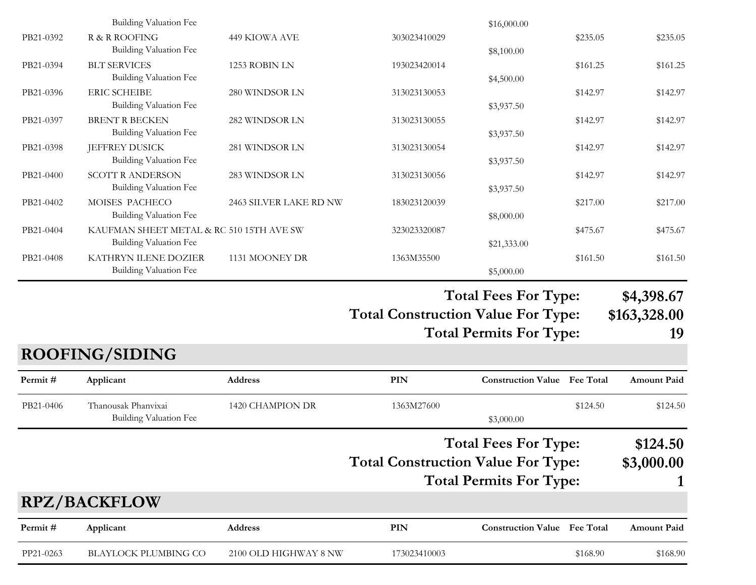|           | Building Valuation Fee                                                    |                        |                                           | \$16,000.00                         |          |                    |
|-----------|---------------------------------------------------------------------------|------------------------|-------------------------------------------|-------------------------------------|----------|--------------------|
| PB21-0392 | R & R ROOFING<br><b>Building Valuation Fee</b>                            | 449 KIOWA AVE          | 303023410029                              | \$8,100.00                          | \$235.05 | \$235.05           |
| PB21-0394 | <b>BLT SERVICES</b><br><b>Building Valuation Fee</b>                      | 1253 ROBIN LN          | 193023420014                              | \$4,500.00                          | \$161.25 | \$161.25           |
| PB21-0396 | <b>ERIC SCHEIBE</b><br>Building Valuation Fee                             | 280 WINDSOR LN         | 313023130053                              | \$3,937.50                          | \$142.97 | \$142.97           |
| PB21-0397 | <b>BRENT R BECKEN</b><br><b>Building Valuation Fee</b>                    | 282 WINDSOR LN         | 313023130055                              | \$3,937.50                          | \$142.97 | \$142.97           |
| PB21-0398 | <b>JEFFREY DUSICK</b><br><b>Building Valuation Fee</b>                    | 281 WINDSOR LN         | 313023130054                              | \$3,937.50                          | \$142.97 | \$142.97           |
| PB21-0400 | <b>SCOTT R ANDERSON</b><br><b>Building Valuation Fee</b>                  | 283 WINDSOR LN         | 313023130056                              | \$3,937.50                          | \$142.97 | \$142.97           |
| PB21-0402 | MOISES PACHECO<br><b>Building Valuation Fee</b>                           | 2463 SILVER LAKE RD NW | 183023120039                              | \$8,000.00                          | \$217.00 | \$217.00           |
| PB21-0404 | KAUFMAN SHEET METAL & RC 510 15TH AVE SW<br><b>Building Valuation Fee</b> |                        | 323023320087                              | \$21,333.00                         | \$475.67 | \$475.67           |
| PB21-0408 | KATHRYN ILENE DOZIER<br>Building Valuation Fee                            | 1131 MOONEY DR         | 1363M35500                                | \$5,000.00                          | \$161.50 | \$161.50           |
|           |                                                                           |                        |                                           |                                     |          |                    |
|           |                                                                           |                        |                                           | <b>Total Fees For Type:</b>         |          | \$4,398.67         |
|           |                                                                           |                        | <b>Total Construction Value For Type:</b> |                                     |          | \$163,328.00       |
|           |                                                                           |                        |                                           | <b>Total Permits For Type:</b>      |          | 19                 |
|           | <b>ROOFING/SIDING</b>                                                     |                        |                                           |                                     |          |                    |
| Permit#   | Applicant                                                                 | Address                | <b>PIN</b>                                | <b>Construction Value</b> Fee Total |          | <b>Amount Paid</b> |
| PB21-0406 | Thanousak Phanvixai<br><b>Building Valuation Fee</b>                      | 1420 CHAMPION DR       | 1363M27600                                | \$3,000.00                          | \$124.50 | \$124.50           |
|           |                                                                           |                        |                                           | <b>Total Fees For Type:</b>         |          | \$124.50           |
|           |                                                                           |                        | <b>Total Construction Value For Type:</b> |                                     |          | \$3,000.00         |
|           |                                                                           |                        |                                           | <b>Total Permits For Type:</b>      |          |                    |
|           | <b>RPZ/BACKFLOW</b>                                                       |                        |                                           |                                     |          |                    |
| Permit#   | Applicant                                                                 | <b>Address</b>         | PIN                                       | <b>Construction Value</b> Fee Total |          | <b>Amount Paid</b> |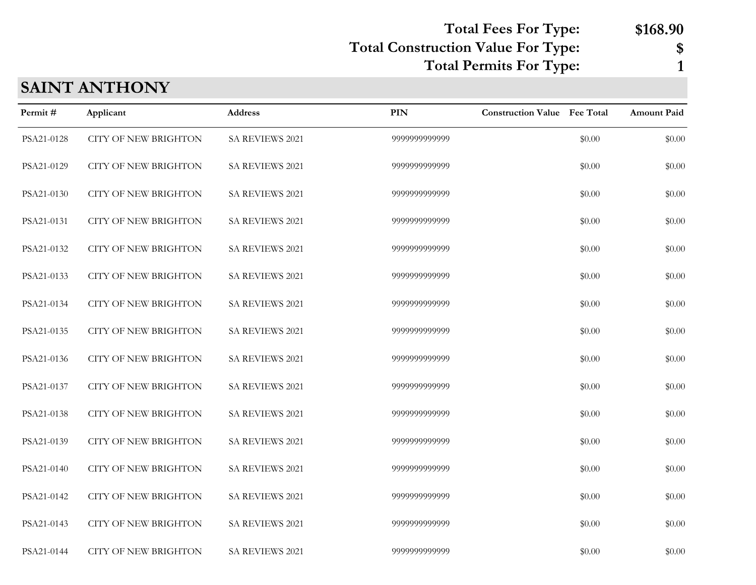**Total Fees For Type: \$168.90**

### **Total Construction Value For Type: \$**

**Total Permits For Type: 1**

### **SAINT ANTHONY**

| Permit#    | Applicant                   | Address         | <b>PIN</b>    | <b>Construction Value</b> Fee Total |        | Amount Paid |
|------------|-----------------------------|-----------------|---------------|-------------------------------------|--------|-------------|
| PSA21-0128 | <b>CITY OF NEW BRIGHTON</b> | SA REVIEWS 2021 | 9999999999999 |                                     | \$0.00 | \$0.00      |
| PSA21-0129 | <b>CITY OF NEW BRIGHTON</b> | SA REVIEWS 2021 | 9999999999999 |                                     | \$0.00 | \$0.00      |
| PSA21-0130 | <b>CITY OF NEW BRIGHTON</b> | SA REVIEWS 2021 | 9999999999999 |                                     | \$0.00 | \$0.00      |
| PSA21-0131 | <b>CITY OF NEW BRIGHTON</b> | SA REVIEWS 2021 | 9999999999999 |                                     | \$0.00 | \$0.00      |
| PSA21-0132 | <b>CITY OF NEW BRIGHTON</b> | SA REVIEWS 2021 | 9999999999999 |                                     | \$0.00 | \$0.00      |
| PSA21-0133 | <b>CITY OF NEW BRIGHTON</b> | SA REVIEWS 2021 | 9999999999999 |                                     | \$0.00 | \$0.00      |
| PSA21-0134 | <b>CITY OF NEW BRIGHTON</b> | SA REVIEWS 2021 | 9999999999999 |                                     | \$0.00 | \$0.00      |
| PSA21-0135 | <b>CITY OF NEW BRIGHTON</b> | SA REVIEWS 2021 | 9999999999999 |                                     | \$0.00 | \$0.00      |
| PSA21-0136 | <b>CITY OF NEW BRIGHTON</b> | SA REVIEWS 2021 | 9999999999999 |                                     | \$0.00 | \$0.00      |
| PSA21-0137 | <b>CITY OF NEW BRIGHTON</b> | SA REVIEWS 2021 | 9999999999999 |                                     | \$0.00 | \$0.00      |
| PSA21-0138 | <b>CITY OF NEW BRIGHTON</b> | SA REVIEWS 2021 | 9999999999999 |                                     | \$0.00 | \$0.00      |
| PSA21-0139 | <b>CITY OF NEW BRIGHTON</b> | SA REVIEWS 2021 | 9999999999999 |                                     | \$0.00 | \$0.00      |
| PSA21-0140 | <b>CITY OF NEW BRIGHTON</b> | SA REVIEWS 2021 | 9999999999999 |                                     | \$0.00 | \$0.00      |
| PSA21-0142 | <b>CITY OF NEW BRIGHTON</b> | SA REVIEWS 2021 | 9999999999999 |                                     | \$0.00 | \$0.00      |
| PSA21-0143 | <b>CITY OF NEW BRIGHTON</b> | SA REVIEWS 2021 | 9999999999999 |                                     | \$0.00 | \$0.00      |
| PSA21-0144 | <b>CITY OF NEW BRIGHTON</b> | SA REVIEWS 2021 | 9999999999999 |                                     | \$0.00 | \$0.00      |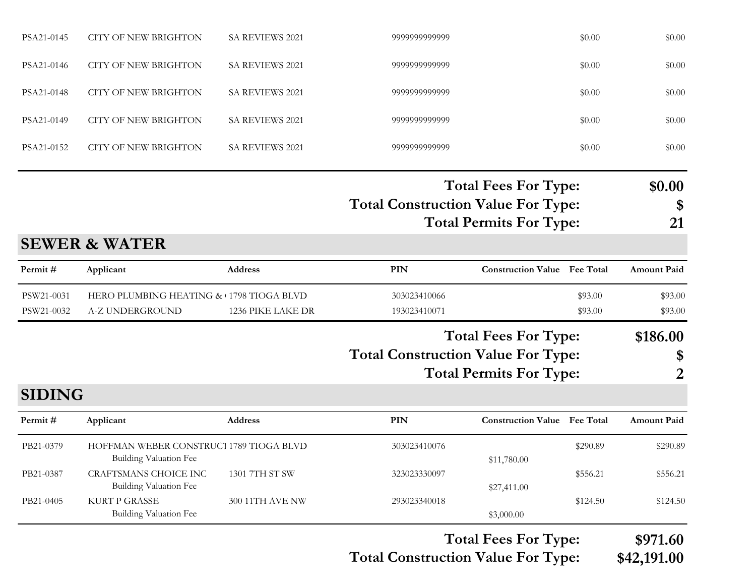|               |                                                                          |                   |                                           | <b>Total Fees For Type:</b>         |          | \$971.60           |
|---------------|--------------------------------------------------------------------------|-------------------|-------------------------------------------|-------------------------------------|----------|--------------------|
| PB21-0405     | <b>KURT P GRASSE</b><br><b>Building Valuation Fee</b>                    | 300 11TH AVE NW   | 293023340018                              | \$3,000.00                          | \$124.50 | \$124.50           |
| PB21-0387     | CRAFTSMANS CHOICE INC<br><b>Building Valuation Fee</b>                   | 1301 7TH ST SW    | 323023330097                              | \$27,411.00                         | \$556.21 | \$556.21           |
| PB21-0379     | HOFFMAN WEBER CONSTRUCT 1789 TIOGA BLVD<br><b>Building Valuation Fee</b> |                   | 303023410076                              | \$11,780.00                         | \$290.89 | \$290.89           |
| Permit#       | Applicant                                                                | Address           | PIN                                       | <b>Construction Value Fee Total</b> |          | <b>Amount Paid</b> |
| <b>SIDING</b> |                                                                          |                   |                                           |                                     |          |                    |
|               |                                                                          |                   |                                           | <b>Total Permits For Type:</b>      |          | 2                  |
|               |                                                                          |                   | <b>Total Construction Value For Type:</b> | <b>Total Fees For Type:</b>         |          | \$186.00<br>\$     |
| PSW21-0032    | A-Z UNDERGROUND                                                          | 1236 PIKE LAKE DR | 193023410071                              |                                     | \$93.00  | \$93.00            |
| PSW21-0031    | HERO PLUMBING HEATING & 1798 TIOGA BLVD                                  |                   | 303023410066                              |                                     | \$93.00  | \$93.00            |
| Permit#       | Applicant                                                                | Address           | PIN                                       | <b>Construction Value Fee Total</b> |          | <b>Amount Paid</b> |
|               | <b>SEWER &amp; WATER</b>                                                 |                   |                                           |                                     |          |                    |
|               |                                                                          |                   |                                           | <b>Total Permits For Type:</b>      |          | 21                 |
|               |                                                                          |                   | <b>Total Construction Value For Type:</b> |                                     |          | \$                 |
|               |                                                                          |                   |                                           | <b>Total Fees For Type:</b>         |          | \$0.00             |
| PSA21-0152    | <b>CITY OF NEW BRIGHTON</b>                                              | SA REVIEWS 2021   | 9999999999999                             |                                     | \$0.00   | \$0.00             |
| PSA21-0149    | <b>CITY OF NEW BRIGHTON</b>                                              | SA REVIEWS 2021   | 9999999999999                             |                                     | \$0.00   | \$0.00             |
| PSA21-0148    | <b>CITY OF NEW BRIGHTON</b>                                              | SA REVIEWS 2021   | 9999999999999                             |                                     | \$0.00   | \$0.00             |
| PSA21-0146    | <b>CITY OF NEW BRIGHTON</b>                                              | SA REVIEWS 2021   | 9999999999999                             |                                     | \$0.00   | \$0.00             |
| PSA21-0145    | <b>CITY OF NEW BRIGHTON</b>                                              | SA REVIEWS 2021   | 9999999999999                             |                                     | \$0.00   | \$0.00             |
|               |                                                                          |                   |                                           |                                     |          |                    |

**Total Construction Value For Type: \$42,191.00**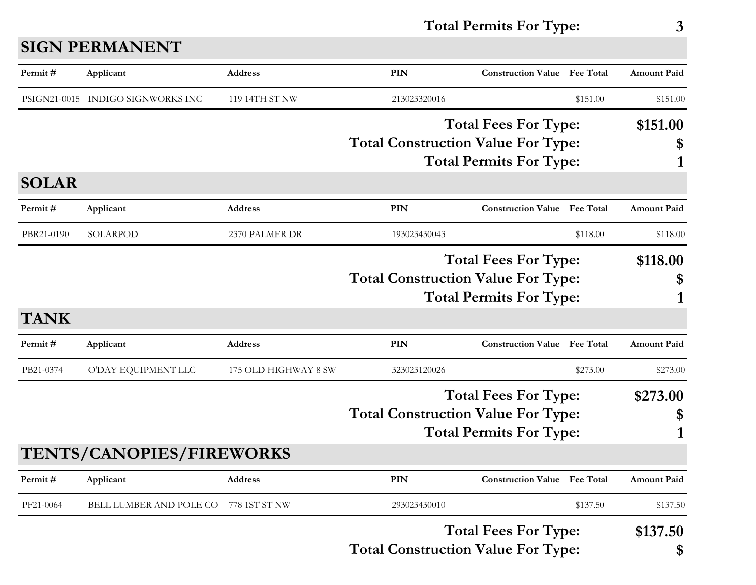## **SIGN PERMANENT**

| Permit#      | Applicant                         | <b>Address</b>       | PIN                                                                                                        | <b>Construction Value Fee Total</b> |          | <b>Amount Paid</b> |
|--------------|-----------------------------------|----------------------|------------------------------------------------------------------------------------------------------------|-------------------------------------|----------|--------------------|
|              | PSIGN21-0015 INDIGO SIGNWORKS INC | 119 14TH ST NW       | 213023320016                                                                                               |                                     | \$151.00 | \$151.00           |
|              |                                   |                      | <b>Total Fees For Type:</b><br><b>Total Construction Value For Type:</b><br><b>Total Permits For Type:</b> |                                     |          | \$151.00<br>1      |
| <b>SOLAR</b> |                                   |                      |                                                                                                            |                                     |          |                    |
| Permit#      | Applicant                         | <b>Address</b>       | <b>PIN</b>                                                                                                 | <b>Construction Value Fee Total</b> |          | <b>Amount Paid</b> |
| PBR21-0190   | SOLARPOD                          | 2370 PALMER DR       | 193023430043                                                                                               |                                     | \$118.00 | \$118.00           |
| <b>TANK</b>  |                                   |                      | <b>Total Fees For Type:</b><br><b>Total Construction Value For Type:</b><br><b>Total Permits For Type:</b> |                                     |          | \$118.00<br>\$     |
| Permit#      | Applicant                         | <b>Address</b>       | <b>PIN</b>                                                                                                 | <b>Construction Value Fee Total</b> |          | <b>Amount Paid</b> |
| PB21-0374    | O'DAY EQUIPMENT LLC               | 175 OLD HIGHWAY 8 SW | 323023120026                                                                                               |                                     | \$273.00 | \$273.00           |
|              | <b>TENTS/CANOPIES/FIREWORKS</b>   |                      | <b>Total Fees For Type:</b><br><b>Total Construction Value For Type:</b><br><b>Total Permits For Type:</b> |                                     |          | \$273.00<br>\$     |
| Permit#      | Applicant                         | Address              | PIN                                                                                                        | <b>Construction Value</b> Fee Total |          | <b>Amount Paid</b> |
| PF21-0064    | BELL LUMBER AND POLE CO           | 778 1ST ST NW        | 293023430010                                                                                               |                                     | \$137.50 | \$137.50           |
|              |                                   |                      | <b>Total Construction Value For Type:</b>                                                                  | <b>Total Fees For Type:</b>         |          | \$137.50<br>\$     |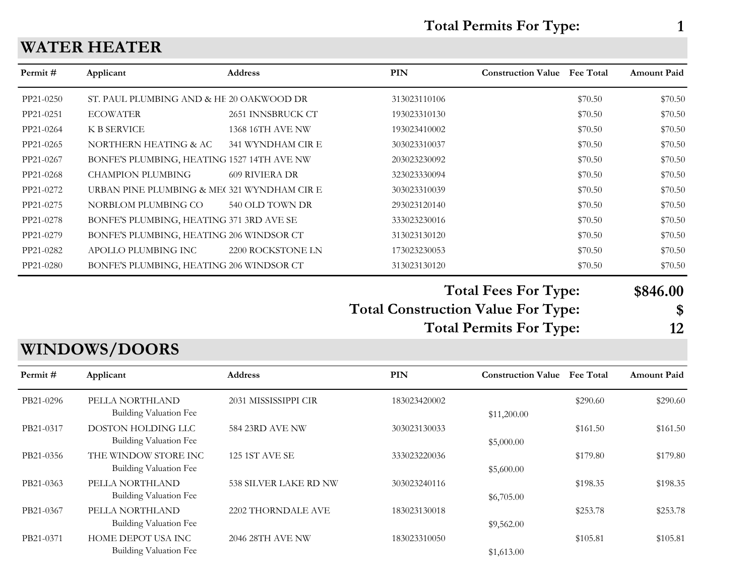#### **WATER HEATER**

| Permit #  | Applicant                                  | <b>Address</b>        | <b>PIN</b>   | <b>Construction Value</b> | <b>Fee Total</b> | <b>Amount Paid</b> |
|-----------|--------------------------------------------|-----------------------|--------------|---------------------------|------------------|--------------------|
| PP21-0250 | ST. PAUL PLUMBING AND & HE 20 OAKWOOD DR   |                       | 313023110106 |                           | \$70.50          | \$70.50            |
| PP21-0251 | <b>ECOWATER</b>                            | 2651 INNSBRUCK CT     | 193023310130 |                           | \$70.50          | \$70.50            |
| PP21-0264 | K B SERVICE                                | 1368 16TH AVE NW      | 193023410002 |                           | \$70.50          | \$70.50            |
| PP21-0265 | NORTHERN HEATING & AC                      | 341 WYNDHAM CIR E     | 303023310037 |                           | \$70.50          | \$70.50            |
| PP21-0267 | BONFE'S PLUMBING, HEATING 1527 14TH AVE NW |                       | 203023230092 |                           | \$70.50          | \$70.50            |
| PP21-0268 | <b>CHAMPION PLUMBING</b>                   | <b>609 RIVIERA DR</b> | 323023330094 |                           | \$70.50          | \$70.50            |
| PP21-0272 | URBAN PINE PLUMBING & ME(321 WYNDHAM CIR E |                       | 303023310039 |                           | \$70.50          | \$70.50            |
| PP21-0275 | NORBLOM PLUMBING CO                        | 540 OLD TOWN DR       | 293023120140 |                           | \$70.50          | \$70.50            |
| PP21-0278 | BONFE'S PLUMBING, HEATING 371 3RD AVE SE   |                       | 333023230016 |                           | \$70.50          | \$70.50            |
| PP21-0279 | BONFE'S PLUMBING, HEATING 206 WINDSOR CT   |                       | 313023130120 |                           | \$70.50          | \$70.50            |
| PP21-0282 | APOLLO PLUMBING INC                        | 2200 ROCKSTONE LN     | 173023230053 |                           | \$70.50          | \$70.50            |
| PP21-0280 | BONFE'S PLUMBING, HEATING 206 WINDSOR CT   |                       | 313023130120 |                           | \$70.50          | \$70.50            |

#### **Total Fees For Type: \$846.00**

**Total Construction Value For Type: \$ Total Permits For Type: 12**

## **WINDOWS/DOORS**

| Permit#   | Applicant                                        | <b>Address</b>        | PIN          | <b>Construction Value</b> | <b>Fee Total</b> | <b>Amount Paid</b> |
|-----------|--------------------------------------------------|-----------------------|--------------|---------------------------|------------------|--------------------|
| PB21-0296 | PELLA NORTHLAND<br><b>Building Valuation Fee</b> | 2031 MISSISSIPPI CIR  | 183023420002 | \$11,200.00               | \$290.60         | \$290.60           |
| PB21-0317 | DOSTON HOLDING LLC<br>Building Valuation Fee     | 584 23RD AVE NW       | 303023130033 | \$5,000.00                | \$161.50         | \$161.50           |
| PB21-0356 | THE WINDOW STORE INC<br>Building Valuation Fee   | <b>125 1ST AVE SE</b> | 333023220036 | \$5,600.00                | \$179.80         | \$179.80           |
| PB21-0363 | PELLA NORTHLAND<br><b>Building Valuation Fee</b> | 538 SILVER LAKE RD NW | 303023240116 | \$6,705.00                | \$198.35         | \$198.35           |
| PB21-0367 | PELLA NORTHLAND<br><b>Building Valuation Fee</b> | 2202 THORNDALE AVE    | 183023130018 | \$9,562.00                | \$253.78         | \$253.78           |
| PB21-0371 | HOME DEPOT USA INC<br>Building Valuation Fee     | 2046 28TH AVE NW      | 183023310050 | \$1,613.00                | \$105.81         | \$105.81           |